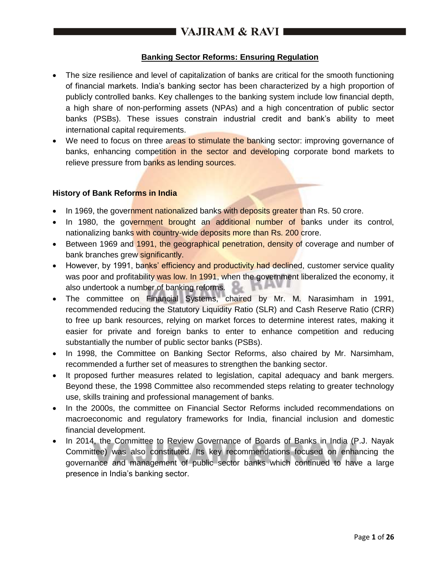# **I VAJIRAM & RAVI**  $\blacksquare$

## **Banking Sector Reforms: Ensuring Regulation**

- The size resilience and level of capitalization of banks are critical for the smooth functioning of financial markets. India's banking sector has been characterized by a high proportion of publicly controlled banks. Key challenges to the banking system include low financial depth, a high share of non-performing assets (NPAs) and a high concentration of public sector banks (PSBs). These issues constrain industrial credit and bank's ability to meet international capital requirements.
- We need to focus on three areas to stimulate the banking sector: improving governance of banks, enhancing competition in the sector and developing corporate bond markets to relieve pressure from banks as lending sources.

#### **History of Bank Reforms in India**

- In 1969, the government nationalized banks with deposits greater than Rs. 50 crore.
- In 1980, the government brought an additional number of banks under its control, nationalizing banks with country-wide deposits more than Rs. 200 crore.
- Between 1969 and 1991, the geographical penetration, density of coverage and number of bank branches grew significantly.
- However, by 1991, banks' efficiency and productivity had declined, customer service quality was poor and profitability was low. In 1991, when the government liberalized the economy, it also undertook a number of banking reforms.
- The committee on Financial Systems, chaired by Mr. M. Narasimham in 1991, recommended reducing the Statutory Liquidity Ratio (SLR) and Cash Reserve Ratio (CRR) to free up bank resources, relying on market forces to determine interest rates, making it easier for private and foreign banks to enter to enhance competition and reducing substantially the number of public sector banks (PSBs).
- In 1998, the Committee on Banking Sector Reforms, also chaired by Mr. Narsimham, recommended a further set of measures to strengthen the banking sector.
- It proposed further measures related to legislation, capital adequacy and bank mergers. Beyond these, the 1998 Committee also recommended steps relating to greater technology use, skills training and professional management of banks.
- In the 2000s, the committee on Financial Sector Reforms included recommendations on macroeconomic and regulatory frameworks for India, financial inclusion and domestic financial development.
- In 2014, the Committee to Review Governance of Boards of Banks in India (P.J. Nayak Committee) was also constituted. Its key recommendations focused on enhancing the governance and management of public sector banks which continued to have a large presence in India's banking sector.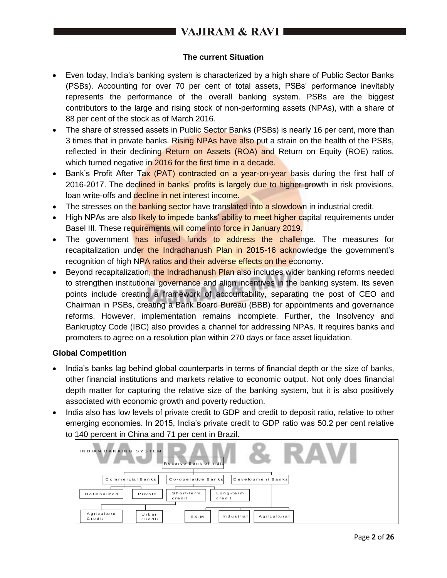# VAJIRAM & RAVI I

## **The current Situation**

- Even today, India's banking system is characterized by a high share of Public Sector Banks (PSBs). Accounting for over 70 per cent of total assets, PSBs' performance inevitably represents the performance of the overall banking system. PSBs are the biggest contributors to the large and rising stock of non-performing assets (NPAs), with a share of 88 per cent of the stock as of March 2016.
- The share of stressed assets in Public Sector Banks (PSBs) is nearly 16 per cent, more than 3 times that in private banks. Rising NPAs have also put a strain on the health of the PSBs, reflected in their declining Return on Assets (ROA) and Return on Equity (ROE) ratios, which turned negative in 2016 for the first time in a decade.
- Bank's Profit After Tax (PAT) contracted on a year-on-year basis during the first half of 2016-2017. The declined in banks' profits is largely due to higher growth in risk provisions, loan write-offs and decline in net interest income.
- The stresses on the banking sector have translated into a slowdown in industrial credit.
- High NPAs are also likely to impede banks' ability to meet higher capital requirements under Basel III. These requirements will come into force in January 2019.
- The government has infused funds to address the challenge. The measures for recapitalization under the Indradhanush Plan in 2015-16 acknowledge the government's recognition of high NPA ratios and their adverse effects on the economy.
- Beyond recapitalization, the Indradhanush Plan also includes wider banking reforms needed to strengthen institutional governance and align incentives in the banking system. Its seven points include creating a framework of accountability, separating the post of CEO and Chairman in PSBs, creating a Bank Board Bureau (BBB) for appointments and governance reforms. However, implementation remains incomplete. Further, the Insolvency and Bankruptcy Code (IBC) also provides a channel for addressing NPAs. It requires banks and promoters to agree on a resolution plan within 270 days or face asset liquidation.

#### **Global Competition**

- India's banks lag behind global counterparts in terms of financial depth or the size of banks, other financial institutions and markets relative to economic output. Not only does financial depth matter for capturing the relative size of the banking system, but it is also positively associated with economic growth and poverty reduction.
- India also has low levels of private credit to GDP and credit to deposit ratio, relative to other emerging economies. In 2015, India's private credit to GDP ratio was 50.2 per cent relative to 140 percent in China and 71 per cent in Brazil.

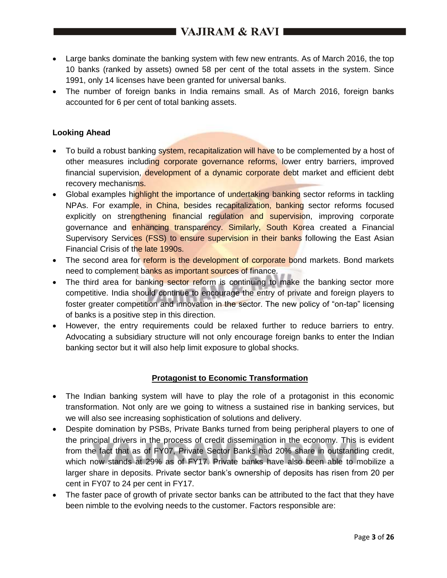- Large banks dominate the banking system with few new entrants. As of March 2016, the top 10 banks (ranked by assets) owned 58 per cent of the total assets in the system. Since 1991, only 14 licenses have been granted for universal banks.
- The number of foreign banks in India remains small. As of March 2016, foreign banks accounted for 6 per cent of total banking assets.

## **Looking Ahead**

- To build a robust banking system, recapitalization will have to be complemented by a host of other measures including corporate governance reforms, lower entry barriers, improved financial supervision, development of a dynamic corporate debt market and efficient debt recovery mechanism<sub>s.</sub>
- Global examples highlight the importance of undertaking banking sector reforms in tackling NPAs. For example, in China, besides recapitalization, banking sector reforms focused explicitly on strengthening financial regulation and supervision, improving corporate governance and enhancing transparency. Similarly, South Korea created a Financial Supervisory Services (FSS) to ensure supervision in their banks following the East Asian Financial Crisis of the late 1990s.
- The second area for reform is the development of corporate bond markets. Bond markets need to complement banks as important sources of finance.
- The third area for banking sector reform is continuing to make the banking sector more competitive. India should continue to encourage the entry of private and foreign players to foster greater competition and innovation in the sector. The new policy of "on-tap" licensing of banks is a positive step in this direction.
- However, the entry requirements could be relaxed further to reduce barriers to entry. Advocating a subsidiary structure will not only encourage foreign banks to enter the Indian banking sector but it will also help limit exposure to global shocks.

#### **Protagonist to Economic Transformation**

- The Indian banking system will have to play the role of a protagonist in this economic transformation. Not only are we going to witness a sustained rise in banking services, but we will also see increasing sophistication of solutions and delivery.
- Despite domination by PSBs, Private Banks turned from being peripheral players to one of the principal drivers in the process of credit dissemination in the economy. This is evident from the fact that as of FY07, Private Sector Banks had 20% share in outstanding credit, which now stands at 29% as of FY17. Private banks have also been able to mobilize a larger share in deposits. Private sector bank's ownership of deposits has risen from 20 per cent in FY07 to 24 per cent in FY17.
- The faster pace of growth of private sector banks can be attributed to the fact that they have been nimble to the evolving needs to the customer. Factors responsible are: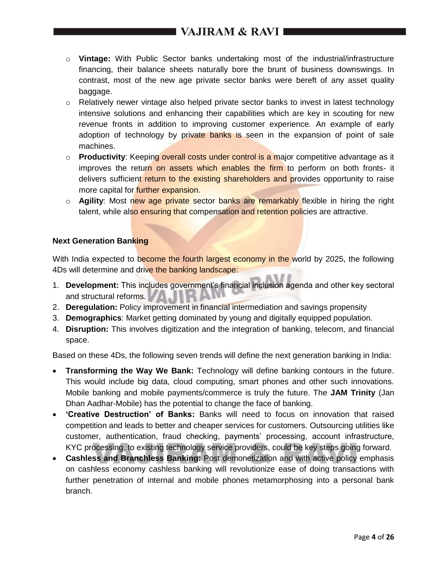# I VAJIRAM & RAVI 1

- o **Vintage:** With Public Sector banks undertaking most of the industrial/infrastructure financing, their balance sheets naturally bore the brunt of business downswings. In contrast, most of the new age private sector banks were bereft of any asset quality baggage.
- o Relatively newer vintage also helped private sector banks to invest in latest technology intensive solutions and enhancing their capabilities which are key in scouting for new revenue fronts in addition to improving customer experience. An example of early adoption of technology by private banks is seen in the expansion of point of sale machines.
- o **Productivity**: Keeping overall costs under control is a major competitive advantage as it improves the return on assets which enables the firm to perform on both fronts- it delivers sufficient return to the existing shareholders and provides opportunity to raise more capital for **further expansion.**
- o **Agility**: Most new age private sector banks are remarkably flexible in hiring the right talent, while also ensuring that compensation and retention policies are attractive.

## **Next Generation Banking**

With India expected to become the fourth largest economy in the world by 2025, the following 4Ds will determine and drive the banking landscape:

- 1. **Development:** This includes government's financial inclusion agenda and other key sectoral and structural reforms.
- 2. **Deregulation:** Policy improvement in financial intermediation and savings propensity
- 3. **Demographics**: Market getting dominated by young and digitally equipped population.
- 4. **Disruption:** This involves digitization and the integration of banking, telecom, and financial space.

Based on these 4Ds, the following seven trends will define the next generation banking in India:

- **Transforming the Way We Bank:** Technology will define banking contours in the future. This would include big data, cloud computing, smart phones and other such innovations. Mobile banking and mobile payments/commerce is truly the future. The **JAM Trinity** (Jan Dhan Aadhar-Mobile) has the potential to change the face of banking.
- **'Creative Destruction' of Banks:** Banks will need to focus on innovation that raised competition and leads to better and cheaper services for customers. Outsourcing utilities like customer, authentication, fraud checking, payments' processing, account infrastructure, KYC processing, to existing technology service providers, could be key steps going forward.
- **Cashless and Branchless Banking:** Post demonetization and with active policy emphasis on cashless economy cashless banking will revolutionize ease of doing transactions with further penetration of internal and mobile phones metamorphosing into a personal bank branch.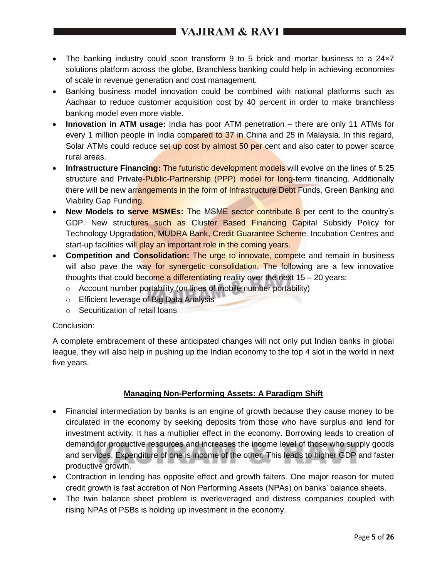# $\blacksquare$  VAJIRAM & RAVI  $\blacksquare$

- The banking industry could soon transform 9 to 5 brick and mortar business to a 24×7 solutions platform across the globe, Branchless banking could help in achieving economies of scale in revenue generation and cost management.
- Banking business model innovation could be combined with national platforms such as Aadhaar to reduce customer acquisition cost by 40 percent in order to make branchless banking model even more viable.
- **Innovation in ATM usage:** India has poor ATM penetration there are only 11 ATMs for every 1 million people in India compared to 37 in China and 25 in Malaysia. In this regard, Solar ATMs could reduce set up cost by almost 50 per cent and also cater to power scarce rural areas.
- **Infrastructure Financing: The futuristic development models will evolve on the lines of 5:25** structure and Private-Public-Partnership (PPP) model for long-term financing. Additionally there will be new arrangements in the form of Infrastructure Debt Funds, Green Banking and Viability Gap Funding.
- New Models to serve MSMEs: The MSME sector contribute 8 per cent to the country's GDP. New structures such as Cluster Based Financing Capital Subsidy Policy for Technology Upgradation, MUDRA Bank, Credit Guarantee Scheme. Incubation Centres and start-up facilities will play an important role in the coming years.
- **Competition and Consolidation:** The urge to innovate, compete and remain in business will also pave the way for synergetic consolidation. The following are a few innovative thoughts that could become a differentiating reality over the next  $15 - 20$  years:
	- o Account number portability (on lines of mobile number portability)
	- o Efficient leverage of Big Data Analysis
	- o Securitization of retail loans

#### Conclusion:

A complete embracement of these anticipated changes will not only put Indian banks in global league, they will also help in pushing up the Indian economy to the top 4 slot in the world in next five years.

# **Managing Non-Performing Assets: A Paradigm Shift**

- Financial intermediation by banks is an engine of growth because they cause money to be circulated in the economy by seeking deposits from those who have surplus and lend for investment activity. It has a multiplier effect in the economy. Borrowing leads to creation of demand for productive resources and increases the income level of those who supply goods and services. Expenditure of one is income of the other. This leads to higher GDP and faster productive growth.
- Contraction in lending has opposite effect and growth falters. One major reason for muted credit growth is fast accretion of Non Performing Assets (NPAs) on banks' balance sheets.
- The twin balance sheet problem is overleveraged and distress companies coupled with rising NPAs of PSBs is holding up investment in the economy.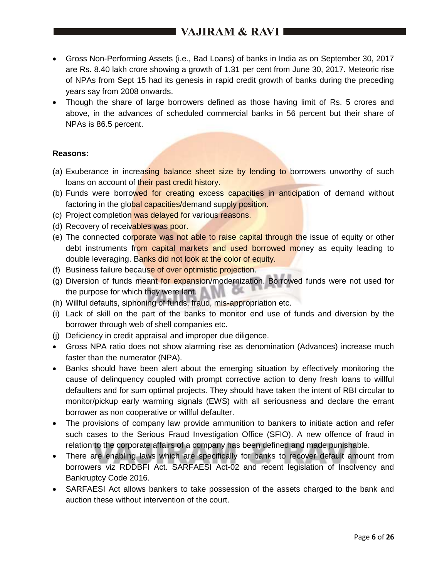# **I VAJIRAM & RAVI**  $\blacksquare$

- Gross Non-Performing Assets (i.e., Bad Loans) of banks in India as on September 30, 2017 are Rs. 8.40 lakh crore showing a growth of 1.31 per cent from June 30, 2017. Meteoric rise of NPAs from Sept 15 had its genesis in rapid credit growth of banks during the preceding years say from 2008 onwards.
- Though the share of large borrowers defined as those having limit of Rs. 5 crores and above, in the advances of scheduled commercial banks in 56 percent but their share of NPAs is 86.5 percent.

#### **Reasons:**

- (a) Exuberance in increasing balance sheet size by lending to borrowers unworthy of such loans on account of their past credit history.
- (b) Funds were borrowed for creating excess capacities in anticipation of demand without factoring in the global capacities/demand supply position.
- (c) Project completion was delayed for various reasons.
- (d) Recovery of receivables was poor.
- (e) The connected corporate was not able to raise capital through the issue of equity or other debt instruments from capital markets and used borrowed money as equity leading to double leveraging. Banks did not look at the color of equity.
- (f) Business failure because of over optimistic projection.
- (g) Diversion of funds meant for expansion/modernization. Borrowed funds were not used for the purpose for which they were lent.
- (h) Willful defaults, siphoning of funds, fraud, mis-appropriation etc.
- (i) Lack of skill on the part of the banks to monitor end use of funds and diversion by the borrower through web of shell companies etc.
- (j) Deficiency in credit appraisal and improper due diligence.
- Gross NPA ratio does not show alarming rise as denomination (Advances) increase much faster than the numerator (NPA).
- Banks should have been alert about the emerging situation by effectively monitoring the cause of delinquency coupled with prompt corrective action to deny fresh loans to willful defaulters and for sum optimal projects. They should have taken the intent of RBI circular to monitor/pickup early warming signals (EWS) with all seriousness and declare the errant borrower as non cooperative or willful defaulter.
- The provisions of company law provide ammunition to bankers to initiate action and refer such cases to the Serious Fraud Investigation Office (SFIO). A new offence of fraud in relation to the corporate affairs of a company has been defined and made punishable.
- There are enabling laws which are specifically for banks to recover default amount from borrowers viz RDDBFI Act. SARFAESI Act-02 and recent legislation of Insolvency and Bankruptcy Code 2016.
- SARFAESI Act allows bankers to take possession of the assets charged to the bank and auction these without intervention of the court.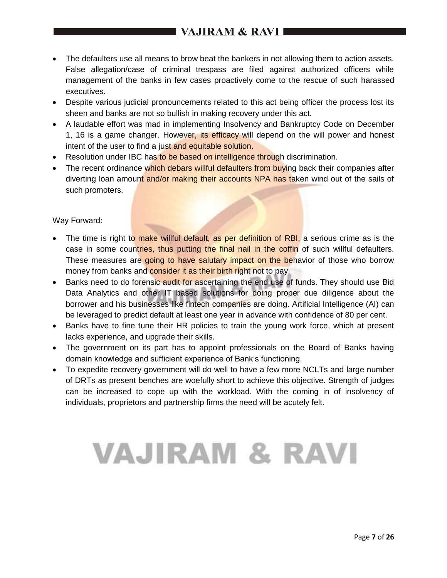# I VAJIRAM & RAVI I

- The defaulters use all means to brow beat the bankers in not allowing them to action assets. False allegation/case of criminal trespass are filed against authorized officers while management of the banks in few cases proactively come to the rescue of such harassed executives.
- Despite various judicial pronouncements related to this act being officer the process lost its sheen and banks are not so bullish in making recovery under this act.
- A laudable effort was mad in implementing Insolvency and Bankruptcy Code on December 1, 16 is a game changer. However, its efficacy will depend on the will power and honest intent of the user to find a just and equitable solution.
- Resolution under IBC has to be based on intelligence through discrimination.
- The recent ordinance which debars willful defaulters from buying back their companies after diverting loan amount and/or making their accounts NPA has taken wind out of the sails of such promoters.

#### Way Forward:

- The time is right to make willful default, as per definition of RBI, a serious crime as is the case in some countries, thus putting the final nail in the coffin of such willful defaulters. These measures are going to have salutary impact on the behavior of those who borrow money from banks and consider it as their birth right not to pay.
- Banks need to do forensic audit for ascertaining the end use of funds. They should use Bid Data Analytics and other IT based solutions for doing proper due diligence about the borrower and his businesses like fintech companies are doing. Artificial Intelligence (AI) can be leveraged to predict default at least one year in advance with confidence of 80 per cent.
- Banks have to fine tune their HR policies to train the young work force, which at present lacks experience, and upgrade their skills.
- The government on its part has to appoint professionals on the Board of Banks having domain knowledge and sufficient experience of Bank's functioning.
- To expedite recovery government will do well to have a few more NCLTs and large number of DRTs as present benches are woefully short to achieve this objective. Strength of judges can be increased to cope up with the workload. With the coming in of insolvency of individuals, proprietors and partnership firms the need will be acutely felt.

# **VAJIRAM & RAVI**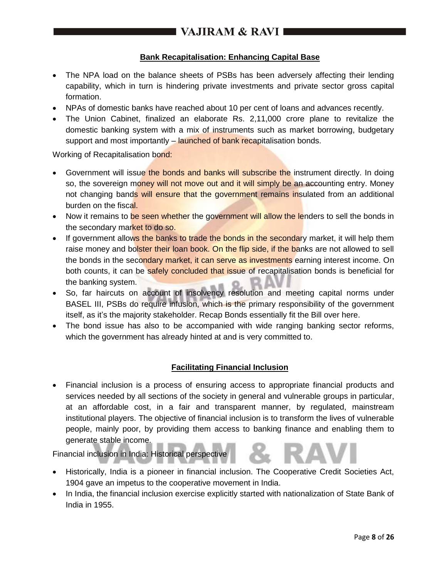# **Bank Recapitalisation: Enhancing Capital Base**

- The NPA load on the balance sheets of PSBs has been adversely affecting their lending capability, which in turn is hindering private investments and private sector gross capital formation.
- NPAs of domestic banks have reached about 10 per cent of loans and advances recently.
- The Union Cabinet, finalized an elaborate Rs. 2,11,000 crore plane to revitalize the domestic banking system with a mix of instruments such as market borrowing, budgetary support and most importantly – launched of bank recapitalisation bonds.

Working of Recapitalisation bond:

- Government will issue the bonds and banks will subscribe the instrument directly. In doing so, the sovereign money will not move out and it will simply be an accounting entry. Money not changing bands will ensure that the government remains insulated from an additional burden on the fiscal.
- Now it remains to be seen whether the government will allow the lenders to sell the bonds in the secondary market to do so.
- If government allows the banks to trade the bonds in the secondary market, it will help them raise money and bolster their loan book. On the flip side, if the banks are not allowed to sell the bonds in the secondary market, it can serve as investments earning interest income. On both counts, it can be safely concluded that issue of recapitalisation bonds is beneficial for the banking system.
- So, far haircuts on account of insolvency resolution and meeting capital norms under BASEL III, PSBs do require infusion, which is the primary responsibility of the government itself, as it's the majority stakeholder. Recap Bonds essentially fit the Bill over here.
- The bond issue has also to be accompanied with wide ranging banking sector reforms, which the government has already hinted at and is very committed to.

#### **Facilitating Financial Inclusion**

 Financial inclusion is a process of ensuring access to appropriate financial products and services needed by all sections of the society in general and vulnerable groups in particular, at an affordable cost, in a fair and transparent manner, by regulated, mainstream institutional players. The objective of financial inclusion is to transform the lives of vulnerable people, mainly poor, by providing them access to banking finance and enabling them to generate stable income.

Financial inclusion in India: Historical perspective

- Historically, India is a pioneer in financial inclusion. The Cooperative Credit Societies Act, 1904 gave an impetus to the cooperative movement in India.
- In India, the financial inclusion exercise explicitly started with nationalization of State Bank of India in 1955.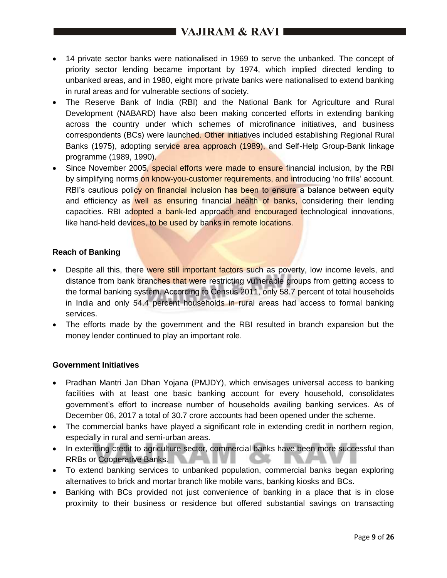# **I VAJIRAM & RAVI**  $\blacksquare$

- 14 private sector banks were nationalised in 1969 to serve the unbanked. The concept of priority sector lending became important by 1974, which implied directed lending to unbanked areas, and in 1980, eight more private banks were nationalised to extend banking in rural areas and for vulnerable sections of society.
- The Reserve Bank of India (RBI) and the National Bank for Agriculture and Rural Development (NABARD) have also been making concerted efforts in extending banking across the country under which schemes of microfinance initiatives, and business correspondents (BCs) were launched. Other initiatives included establishing Regional Rural Banks (1975), adopting service area approach (1989), and Self-Help Group-Bank linkage programme (1989, 1990).
- Since November 2005, special efforts were made to ensure financial inclusion, by the RBI by simplifying norms on know-you-customer requirements, and introducing 'no frills' account. RBI's cautious policy on financial inclusion has been to ensure a balance between equity and efficiency as well as ensuring financial health of banks, considering their lending capacities. RBI adopted a bank-led approach and encouraged technological innovations, like hand-held devices, to be used by banks in remote locations.

#### **Reach of Banking**

- Despite all this, there were still important factors such as poverty, low income levels, and distance from bank branches that were restricting vulnerable groups from getting access to the formal banking system. According to Census 2011, only 58.7 percent of total households in India and only 54.4 percent households in rural areas had access to formal banking services.
- The efforts made by the government and the RBI resulted in branch expansion but the money lender continued to play an important role.

#### **Government Initiatives**

- Pradhan Mantri Jan Dhan Yojana (PMJDY), which envisages universal access to banking facilities with at least one basic banking account for every household, consolidates government's effort to increase number of households availing banking services. As of December 06, 2017 a total of 30.7 crore accounts had been opened under the scheme.
- The commercial banks have played a significant role in extending credit in northern region, especially in rural and semi-urban areas.
- In extending credit to agriculture sector, commercial banks have been more successful than RRBs or Cooperative Banks.
- To extend banking services to unbanked population, commercial banks began exploring alternatives to brick and mortar branch like mobile vans, banking kiosks and BCs.
- Banking with BCs provided not just convenience of banking in a place that is in close proximity to their business or residence but offered substantial savings on transacting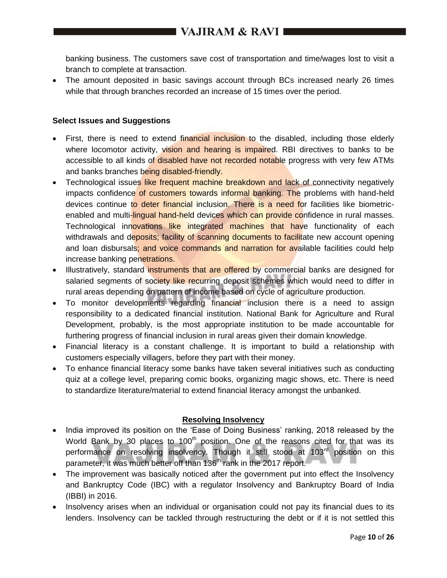banking business. The customers save cost of transportation and time/wages lost to visit a branch to complete at transaction.

• The amount deposited in basic savings account through BCs increased nearly 26 times while that through branches recorded an increase of 15 times over the period.

### **Select Issues and Suggestions**

- First, there is need to extend financial inclusion to the disabled, including those elderly where locomotor activity, vision and hearing is impaired. RBI directives to banks to be accessible to all kinds of disabled have not recorded notable progress with very few ATMs and banks branches being disabled-friendly.
- Technological issues like frequent machine breakdown and lack of connectivity negatively impacts confidence of customers towards informal banking. The problems with hand-held devices continue to deter financial inclusion. There is a need for facilities like biometricenabled and multi-lingual hand-held devices which can provide confidence in rural masses. Technological innovations like integrated machines that have functionality of each withdrawals and deposits; facility of scanning documents to facilitate new account opening and loan disbursals; and voice commands and narration for available facilities could help increase banking penetrations.
- Illustratively, standard instruments that are offered by commercial banks are designed for salaried segments of society like recurring deposit schemes which would need to differ in rural areas depending on pattern of income based on cycle of agriculture production.
- To monitor developments regarding financial inclusion there is a need to assign responsibility to a dedicated financial institution. National Bank for Agriculture and Rural Development, probably, is the most appropriate institution to be made accountable for furthering progress of financial inclusion in rural areas given their domain knowledge.
- Financial literacy is a constant challenge. It is important to build a relationship with customers especially villagers, before they part with their money.
- To enhance financial literacy some banks have taken several initiatives such as conducting quiz at a college level, preparing comic books, organizing magic shows, etc. There is need to standardize literature/material to extend financial literacy amongst the unbanked.

# **Resolving Insolvency**

- India improved its position on the 'Ease of Doing Business' ranking, 2018 released by the World Bank by 30 places to  $100<sup>th</sup>$  position. One of the reasons cited for that was its performance on resolving insolvency. Though it still stood at 103<sup>rd</sup> position on this parameter, it was much better off than 136<sup>th</sup> rank in the 2017 report.
- The improvement was basically noticed after the government put into effect the Insolvency and Bankruptcy Code (IBC) with a regulator Insolvency and Bankruptcy Board of India (IBBI) in 2016.
- Insolvency arises when an individual or organisation could not pay its financial dues to its lenders. Insolvency can be tackled through restructuring the debt or if it is not settled this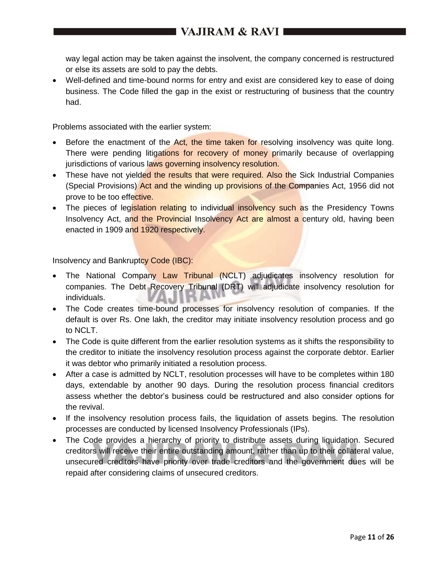way legal action may be taken against the insolvent, the company concerned is restructured or else its assets are sold to pay the debts.

 Well-defined and time-bound norms for entry and exist are considered key to ease of doing business. The Code filled the gap in the exist or restructuring of business that the country had.

Problems associated with the earlier system:

- **Before the enactment of the Act, the time taken for resolving insolvency was quite long.** There were pending litigations for recovery of money primarily because of overlapping jurisdictions of various laws governing insolvency resolution.
- These have not yielded the results that were required. Also the Sick Industrial Companies (Special Provisions) Act and the winding up provisions of the Companies Act, 1956 did not prove to be too effective.
- The pieces of legislation relating to individual insolvency such as the Presidency Towns Insolvency Act, and the Provincial Insolvency Act are almost a century old, having been enacted in 1909 and 1920 respectively.

Insolvency and Bankruptcy Code (IBC):

- The National Company Law Tribunal (NCLT) adjudicates insolvency resolution for companies. The Debt Recovery Tribunal (DRT) will adjudicate insolvency resolution for individuals. Alu
- The Code creates time-bound processes for insolvency resolution of companies. If the default is over Rs. One lakh, the creditor may initiate insolvency resolution process and go to NCLT.
- The Code is quite different from the earlier resolution systems as it shifts the responsibility to the creditor to initiate the insolvency resolution process against the corporate debtor. Earlier it was debtor who primarily initiated a resolution process.
- After a case is admitted by NCLT, resolution processes will have to be completes within 180 days, extendable by another 90 days. During the resolution process financial creditors assess whether the debtor's business could be restructured and also consider options for the revival.
- If the insolvency resolution process fails, the liquidation of assets begins. The resolution processes are conducted by licensed Insolvency Professionals (IPs).
- The Code provides a hierarchy of priority to distribute assets during liquidation. Secured creditors will receive their entire outstanding amount, rather than up to their collateral value, unsecured creditors have priority over trade creditors and the government dues will be repaid after considering claims of unsecured creditors.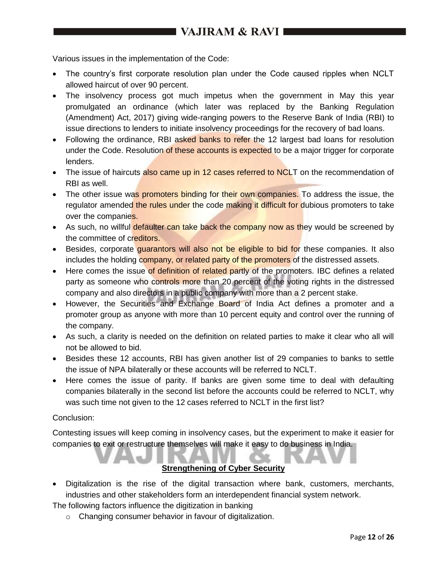Various issues in the implementation of the Code:

- The country's first corporate resolution plan under the Code caused ripples when NCLT allowed haircut of over 90 percent.
- The insolvency process got much impetus when the government in May this year promulgated an ordinance (which later was replaced by the Banking Regulation (Amendment) Act, 2017) giving wide-ranging powers to the Reserve Bank of India (RBI) to issue directions to lenders to initiate insolvency proceedings for the recovery of bad loans.
- Following the ordinance, RBI asked banks to refer the 12 largest bad loans for resolution under the Code. Resolution of these accounts is expected to be a major trigger for corporate lenders.
- The issue of haircuts also came up in 12 cases referred to NCLT on the recommendation of RBI as well.
- The other issue was promoters binding for their own companies. To address the issue, the regulator amended the rules under the code making it difficult for dubious promoters to take over the companies.
- As such, no willful defaulter can take back the company now as they would be screened by the committee of creditors.
- Besides, corporate quarantors will also not be eligible to bid for these companies. It also includes the holding company, or related party of the promoters of the distressed assets.
- Here comes the issue of definition of related partly of the promoters. IBC defines a related party as someone who controls more than 20 percent of the voting rights in the distressed company and also directors in a public company with more than a 2 percent stake.
- However, the Securities and Exchange Board of India Act defines a promoter and a promoter group as anyone with more than 10 percent equity and control over the running of the company.
- As such, a clarity is needed on the definition on related parties to make it clear who all will not be allowed to bid.
- Besides these 12 accounts, RBI has given another list of 29 companies to banks to settle the issue of NPA bilaterally or these accounts will be referred to NCLT.
- Here comes the issue of parity. If banks are given some time to deal with defaulting companies bilaterally in the second list before the accounts could be referred to NCLT, why was such time not given to the 12 cases referred to NCLT in the first list?

#### Conclusion:

Contesting issues will keep coming in insolvency cases, but the experiment to make it easier for companies to exit or restructure themselves will make it easy to do business in India.

## **Strengthening of Cyber Security**

 Digitalization is the rise of the digital transaction where bank, customers, merchants, industries and other stakeholders form an interdependent financial system network.

The following factors influence the digitization in banking

o Changing consumer behavior in favour of digitalization.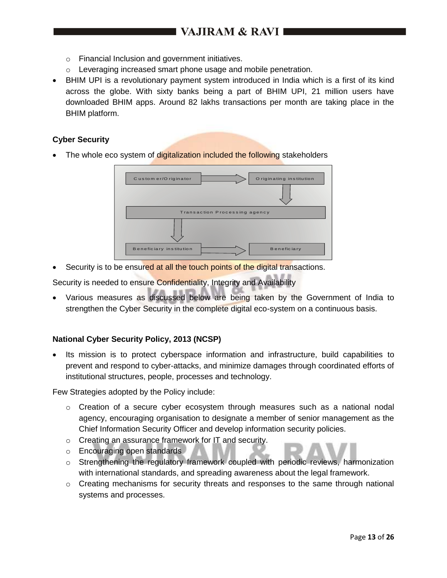- o Financial Inclusion and government initiatives.
- o Leveraging increased smart phone usage and mobile penetration.
- BHIM UPI is a revolutionary payment system introduced in India which is a first of its kind across the globe. With sixty banks being a part of BHIM UPI, 21 million users have downloaded BHIM apps. Around 82 lakhs transactions per month are taking place in the BHIM platform.

#### **Cyber Security**

The whole eco system of digitalization included the following stakeholders



Security is to be ensured at all the touch points of the digital transactions.

Security is needed to ensure Confidentiality, Integrity and Availability

 Various measures as discussed below are being taken by the Government of India to strengthen the Cyber Security in the complete digital eco-system on a continuous basis.

#### **National Cyber Security Policy, 2013 (NCSP)**

 Its mission is to protect cyberspace information and infrastructure, build capabilities to prevent and respond to cyber-attacks, and minimize damages through coordinated efforts of institutional structures, people, processes and technology.

Few Strategies adopted by the Policy include:

- $\circ$  Creation of a secure cyber ecosystem through measures such as a national nodal agency, encouraging organisation to designate a member of senior management as the Chief Information Security Officer and develop information security policies.
- o Creating an assurance framework for IT and security.
- o Encouraging open standards
- o Strengthening the regulatory framework coupled with periodic reviews, harmonization with international standards, and spreading awareness about the legal framework.
- $\circ$  Creating mechanisms for security threats and responses to the same through national systems and processes.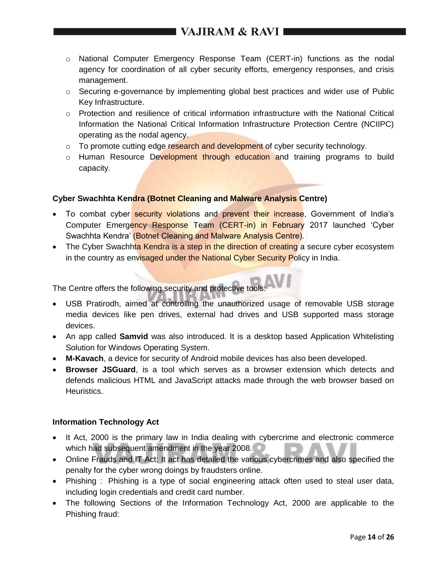- $\circ$  National Computer Emergency Response Team (CERT-in) functions as the nodal agency for coordination of all cyber security efforts, emergency responses, and crisis management.
- $\circ$  Securing e-governance by implementing global best practices and wider use of Public Key Infrastructure.
- $\circ$  Protection and resilience of critical information infrastructure with the National Critical Information the National Critical Information Infrastructure Protection Centre (NCIIPC) operating as the nodal agency.
- $\circ$  To promote cutting edge research and development of cyber security technology.
- o Human Resource Development through education and training programs to build capacity.

## **Cyber Swachhta Kendra (Botnet Cleaning and Malware Analysis Centre)**

- To combat cyber security violations and prevent their increase, Government of India's Computer Emergency Response Team (CERT-in) in February 2017 launched 'Cyber Swachhta Kendra' (Botnet Cleaning and Malware Analysis Centre).
- The Cyber Swachhta Kendra is a step in the direction of creating a secure cyber ecosystem in the country as envisaged under the National Cyber Security Policy in India.

The Centre offers the following security and protective tools:

- USB Pratirodh, aimed at controlling the unauthorized usage of removable USB storage media devices like pen drives, external had drives and USB supported mass storage devices.
- An app called **Samvid** was also introduced. It is a desktop based Application Whitelisting Solution for Windows Operating System.
- **M-Kavach**, a device for security of Android mobile devices has also been developed.
- **Browser JSGuard**, is a tool which serves as a browser extension which detects and defends malicious HTML and JavaScript attacks made through the web browser based on Heuristics.

#### **Information Technology Act**

- It Act, 2000 is the primary law in India dealing with cybercrime and electronic commerce which had subsequent amendment in the year 2008.
- Online Frauds and IT Act: It act has detailed the various cybercrimes and also specified the penalty for the cyber wrong doings by fraudsters online.
- Phishing : Phishing is a type of social engineering attack often used to steal user data, including login credentials and credit card number.
- The following Sections of the Information Technology Act, 2000 are applicable to the Phishing fraud: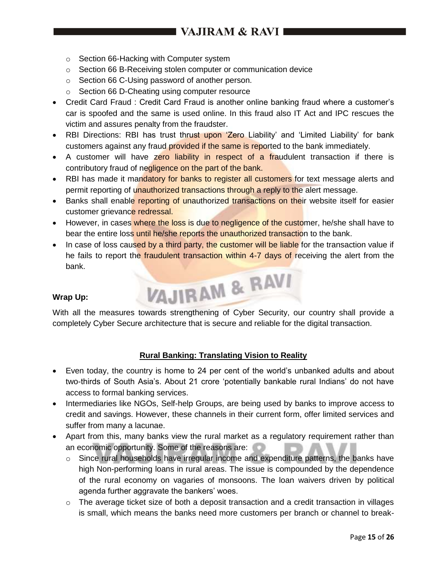- o Section 66-Hacking with Computer system
- o Section 66 B-Receiving stolen computer or communication device
- o Section 66 C-Using password of another person.
- o Section 66 D-Cheating using computer resource
- Credit Card Fraud : Credit Card Fraud is another online banking fraud where a customer's car is spoofed and the same is used online. In this fraud also IT Act and IPC rescues the victim and assures penalty from the fraudster.
- RBI Directions: RBI has trust thrust upon 'Zero Liability' and 'Limited Liability' for bank customers against any fraud provided if the same is reported to the bank immediately.
- A customer will have zero liability in respect of a fraudulent transaction if there is contributory fraud of negligence on the part of the bank.
- RBI has made it mandatory for banks to register all customers for text message alerts and permit reporting of unauthorized transactions through a reply to the alert message.
- Banks shall enable reporting of unauthorized transactions on their website itself for easier customer grievance redressal.
- However, in cases where the loss is due to negligence of the customer, he/she shall have to bear the entire loss until he/she reports the unauthorized transaction to the bank.
- In case of loss caused by a third party, the customer will be liable for the transaction value if he fails to report the *fraudulent transaction within 4-7 days of receiving the alert from the* bank. VAJIRAM & RAVI

#### **Wrap Up:**

With all the measures towards strengthening of Cyber Security, our country shall provide a completely Cyber Secure architecture that is secure and reliable for the digital transaction.

#### **Rural Banking: Translating Vision to Reality**

- Even today, the country is home to 24 per cent of the world's unbanked adults and about two-thirds of South Asia's. About 21 crore 'potentially bankable rural Indians' do not have access to formal banking services.
- Intermediaries like NGOs, Self-help Groups, are being used by banks to improve access to credit and savings. However, these channels in their current form, offer limited services and suffer from many a lacunae.
- Apart from this, many banks view the rural market as a regulatory requirement rather than an economic opportunity. Some of the reasons are:
	- o Since rural households have irregular income and expenditure patterns, the banks have high Non-performing loans in rural areas. The issue is compounded by the dependence of the rural economy on vagaries of monsoons. The loan waivers driven by political agenda further aggravate the bankers' woes.
	- $\circ$  The average ticket size of both a deposit transaction and a credit transaction in villages is small, which means the banks need more customers per branch or channel to break-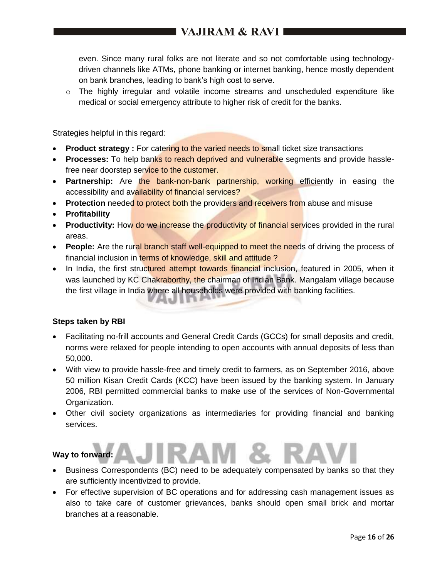even. Since many rural folks are not literate and so not comfortable using technologydriven channels like ATMs, phone banking or internet banking, hence mostly dependent on bank branches, leading to bank's high cost to serve.

 $\circ$  The highly irregular and volatile income streams and unscheduled expenditure like medical or social emergency attribute to higher risk of credit for the banks.

Strategies helpful in this regard:

- **Product strategy :** For catering to the varied needs to small ticket size transactions
- **Processes:** To help banks to reach deprived and vulnerable segments and provide hasslefree near doorstep service to the customer.
- **Partnership:** Are the bank-non-bank partnership, working efficiently in easing the accessibility and availability of financial services?
- **Protection** needed to protect both the providers and receivers from abuse and misuse
- **Profitability**
- **Productivity:** How do we increase the productivity of financial services provided in the rural areas.
- **People:** Are the rural branch staff well-equipped to meet the needs of driving the process of financial inclusion in terms of knowledge, skill and attitude ?
- In India, the first structured attempt towards financial inclusion, featured in 2005, when it was launched by KC Chakraborthy, the chairman of Indian Bank. Mangalam village because the first village in India where all households were provided with banking facilities.

#### **Steps taken by RBI**

- Facilitating no-frill accounts and General Credit Cards (GCCs) for small deposits and credit, norms were relaxed for people intending to open accounts with annual deposits of less than 50,000.
- With view to provide hassle-free and timely credit to farmers, as on September 2016, above 50 million Kisan Credit Cards (KCC) have been issued by the banking system. In January 2006, RBI permitted commercial banks to make use of the services of Non-Governmental Organization.
- Other civil society organizations as intermediaries for providing financial and banking services.

# **Way to forward:**

- Business Correspondents (BC) need to be adequately compensated by banks so that they are sufficiently incentivized to provide.
- For effective supervision of BC operations and for addressing cash management issues as also to take care of customer grievances, banks should open small brick and mortar branches at a reasonable.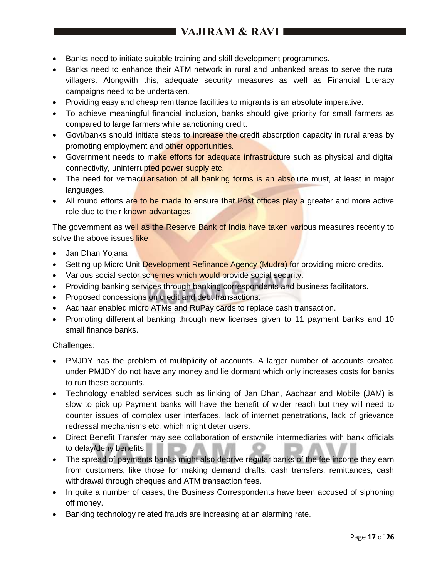# I VAJIRAM & RAVI 1

- Banks need to initiate suitable training and skill development programmes.
- Banks need to enhance their ATM network in rural and unbanked areas to serve the rural villagers. Alongwith this, adequate security measures as well as Financial Literacy campaigns need to be undertaken.
- Providing easy and cheap remittance facilities to migrants is an absolute imperative.
- To achieve meaningful financial inclusion, banks should give priority for small farmers as compared to large farmers while sanctioning credit.
- Govt/banks should initiate steps to increase the credit absorption capacity in rural areas by promoting employment and other opportunities.
- Government needs to make efforts for adequate infrastructure such as physical and digital connectivity, uninterrupted power supply etc.
- The need for vernacularisation of all banking forms is an absolute must, at least in major languages.
- All round efforts are to be made to ensure that Post offices play a greater and more active role due to their known advantages.

The government as well as the Reserve Bank of India have taken various measures recently to solve the above issues like

- Jan Dhan Yojana
- Setting up Micro Unit Development Refinance Agency (Mudra) for providing micro credits.
- Various social sector schemes which would provide social security.
- Providing banking services through banking correspondents and business facilitators.
- Proposed concessions on credit and debt transactions.
- Aadhaar enabled micro ATMs and RuPay cards to replace cash transaction.
- Promoting differential banking through new licenses given to 11 payment banks and 10 small finance banks.

Challenges:

- PMJDY has the problem of multiplicity of accounts. A larger number of accounts created under PMJDY do not have any money and lie dormant which only increases costs for banks to run these accounts.
- Technology enabled services such as linking of Jan Dhan, Aadhaar and Mobile (JAM) is slow to pick up Payment banks will have the benefit of wider reach but they will need to counter issues of complex user interfaces, lack of internet penetrations, lack of grievance redressal mechanisms etc. which might deter users.
- Direct Benefit Transfer may see collaboration of erstwhile intermediaries with bank officials to delay/deny benefits.
- The spread of payments banks might also deprive regular banks of the fee income they earn from customers, like those for making demand drafts, cash transfers, remittances, cash withdrawal through cheques and ATM transaction fees.
- In quite a number of cases, the Business Correspondents have been accused of siphoning off money.
- Banking technology related frauds are increasing at an alarming rate.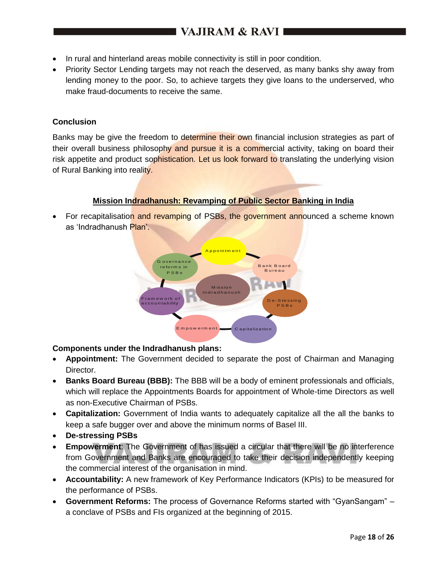- In rural and hinterland areas mobile connectivity is still in poor condition.
- Priority Sector Lending targets may not reach the deserved, as many banks shy away from lending money to the poor. So, to achieve targets they give loans to the underserved, who make fraud-documents to receive the same.

#### **Conclusion**

Banks may be give the freedom to determine their own financial inclusion strategies as part of their overall business philosophy and pursue it is a commercial activity, taking on board their risk appetite and product sophistication. Let us look forward to translating the underlying vision of Rural Banking into reality.

#### **Mission Indradhanush: Revamping of Public Sector Banking in India**

For recapitalisation and revamping of PSBs, the government announced a scheme known as 'Indradhanush Plan'.



#### **Components under the Indradhanush plans:**

- **Appointment:** The Government decided to separate the post of Chairman and Managing Director.
- **Banks Board Bureau (BBB):** The BBB will be a body of eminent professionals and officials, which will replace the Appointments Boards for appointment of Whole-time Directors as well as non-Executive Chairman of PSBs.
- **Capitalization:** Government of India wants to adequately capitalize all the all the banks to keep a safe bugger over and above the minimum norms of Basel III.
- **De-stressing PSBs**
- **Empowerment**: The Government of has issued a circular that there will be no interference from Government and Banks are encouraged to take their decision independently keeping the commercial interest of the organisation in mind.
- **Accountability:** A new framework of Key Performance Indicators (KPIs) to be measured for the performance of PSBs.
- **Government Reforms:** The process of Governance Reforms started with "GyanSangam" a conclave of PSBs and FIs organized at the beginning of 2015.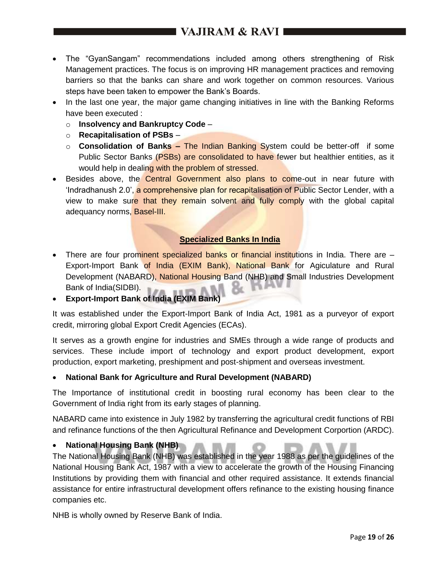# I VAJIRAM & RAVI 1

- The "GyanSangam" recommendations included among others strengthening of Risk Management practices. The focus is on improving HR management practices and removing barriers so that the banks can share and work together on common resources. Various steps have been taken to empower the Bank's Boards.
- In the last one year, the major game changing initiatives in line with the Banking Reforms have been executed :
	- o **Insolvency and Bankruptcy Code** –
	- o **Recapitalisation of PSBs** –
	- o **Consolidation of Banks –** The Indian Banking System could be better-off if some Public Sector Banks (PSBs) are consolidated to have fewer but healthier entities, as it would help in dealing with the problem of stressed.
- Besides above, the Central Government also plans to come-out in near future with 'Indradhanush 2.0', a comprehensive plan for recapitalisation of Public Sector Lender, with a view to make sure that they remain solvent and fully comply with the global capital adequancy norms, Basel-III.

#### **Specialized Banks In India**

- There are four prominent specialized banks or financial institutions in India. There are Export-Import Bank of India (EXIM Bank), National Bank for Agiculature and Rural Development (NABARD), National Housing Band (NHB) and Small Industries Development Bank of India(SIDBI).
- **Export-Import Bank of India (EXIM Bank)**

It was established under the Export-Import Bank of India Act, 1981 as a purveyor of export credit, mirroring global Export Credit Agencies (ECAs).

It serves as a growth engine for industries and SMEs through a wide range of products and services. These include import of technology and export product development, export production, export marketing, preshipment and post-shipment and overseas investment.

#### **National Bank for Agriculture and Rural Development (NABARD)**

The Importance of institutional credit in boosting rural economy has been clear to the Government of India right from its early stages of planning.

NABARD came into existence in July 1982 by transferring the agricultural credit functions of RBI and refinance functions of the then Agricultural Refinance and Development Corportion (ARDC).

#### **National Housing Bank (NHB)**

The National Housing Bank (NHB) was established in the year 1988 as per the guidelines of the National Housing Bank Act, 1987 with a view to accelerate the growth of the Housing Financing Institutions by providing them with financial and other required assistance. It extends financial assistance for entire infrastructural development offers refinance to the existing housing finance companies etc.

NHB is wholly owned by Reserve Bank of India.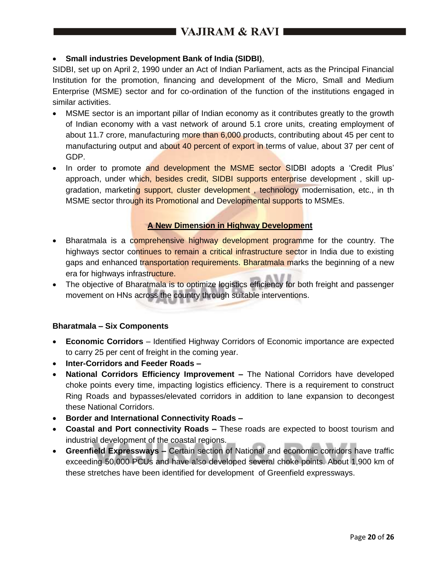# **Small industries Development Bank of India (SIDBI)**,

SIDBI, set up on April 2, 1990 under an Act of Indian Parliament, acts as the Principal Financial Institution for the promotion, financing and development of the Micro, Small and Medium Enterprise (MSME) sector and for co-ordination of the function of the institutions engaged in similar activities.

- MSME sector is an important pillar of Indian economy as it contributes greatly to the growth of Indian economy with a vast network of around 5.1 crore units, creating employment of about 11.7 crore, manufacturing more than 6,000 products, contributing about 45 per cent to manufacturing output and about 40 percent of export in terms of value, about 37 per cent of GDP.
- In order to promote and development the MSME sector SIDBI adopts a 'Credit Plus' approach, under which, besides credit, SIDBI supports enterprise development, skill upgradation, marketing support, cluster development, technology modernisation, etc., in th MSME sector through its Promotional and Developmental supports to MSMEs.

#### **A New Dimension in Highway Development**

- Bharatmala is a comprehensive highway development programme for the country. The highways sector continues to remain a critical infrastructure sector in India due to existing gaps and enhanced transportation requirements. Bharatmala marks the beginning of a new era for highways infrastructure.
- The objective of Bharatmala is to optimize logistics efficiency for both freight and passenger movement on HNs across the country through suitable interventions.

#### **Bharatmala – Six Components**

- **Economic Corridors**  Identified Highway Corridors of Economic importance are expected to carry 25 per cent of freight in the coming year.
- **Inter-Corridors and Feeder Roads –**
- **National Corridors Efficiency Improvement –** The National Corridors have developed choke points every time, impacting logistics efficiency. There is a requirement to construct Ring Roads and bypasses/elevated corridors in addition to lane expansion to decongest these National Corridors.
- **Border and International Connectivity Roads –**
- **Coastal and Port connectivity Roads –** These roads are expected to boost tourism and industrial development of the coastal regions.
- **Greenfield Expressways –** Certain section of National and economic corridors have traffic exceeding 50,000 PCUs and have also developed several choke points. About 1,900 km of these stretches have been identified for development of Greenfield expressways.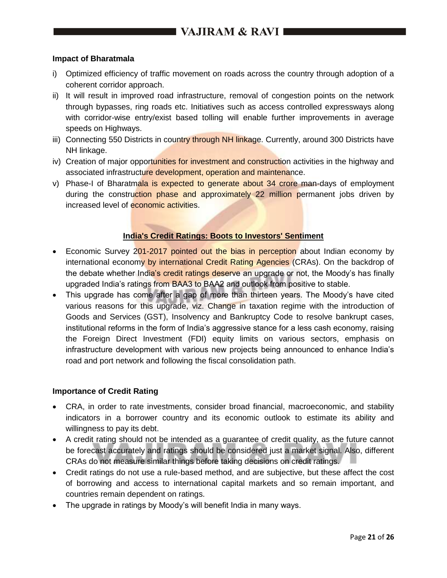#### **Impact of Bharatmala**

- i) Optimized efficiency of traffic movement on roads across the country through adoption of a coherent corridor approach.
- ii) It will result in improved road infrastructure, removal of congestion points on the network through bypasses, ring roads etc. Initiatives such as access controlled expressways along with corridor-wise entry/exist based tolling will enable further improvements in average speeds on Highways.
- iii) Connecting 550 Districts in country through NH linkage. Currently, around 300 Districts have NH linkage.
- iv) Creation of major opportunities for investment and construction activities in the highway and associated infrastructure development, operation and maintenance.
- v) Phase-I of Bharatmala is expected to generate about 34 crore man-days of employment during the construction phase and approximately 22 million permanent jobs driven by increased level of economic activities.

#### **India's Credit Ratings: Boots to Investors' Sentiment**

- Economic Survey 201-2017 pointed out the bias in perception about Indian economy by international economy by international Credit Rating Agencies (CRAs). On the backdrop of the debate whether India's credit ratings deserve an upgrade or not, the Moody's has finally upgraded India's ratings from BAA3 to BAA2 and outlook from positive to stable.
- This upgrade has come after a gap of more than thirteen years. The Moody's have cited various reasons for this upgrade, viz. Change in taxation regime with the introduction of Goods and Services (GST), Insolvency and Bankruptcy Code to resolve bankrupt cases, institutional reforms in the form of India's aggressive stance for a less cash economy, raising the Foreign Direct Investment (FDI) equity limits on various sectors, emphasis on infrastructure development with various new projects being announced to enhance India's road and port network and following the fiscal consolidation path.

#### **Importance of Credit Rating**

- CRA, in order to rate investments, consider broad financial, macroeconomic, and stability indicators in a borrower country and its economic outlook to estimate its ability and willingness to pay its debt.
- A credit rating should not be intended as a guarantee of credit quality, as the future cannot be forecast accurately and ratings should be considered just a market signal. Also, different CRAs do not measure similar things before taking decisions on credit ratings.
- Credit ratings do not use a rule-based method, and are subjective, but these affect the cost of borrowing and access to international capital markets and so remain important, and countries remain dependent on ratings.
- The upgrade in ratings by Moody's will benefit India in many ways.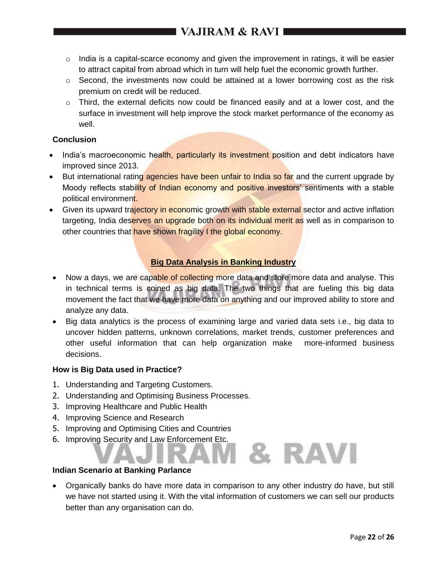- $\circ$  India is a capital-scarce economy and given the improvement in ratings, it will be easier to attract capital from abroad which in turn will help fuel the economic growth further.
- $\circ$  Second, the investments now could be attained at a lower borrowing cost as the risk premium on credit will be reduced.
- $\circ$  Third, the external deficits now could be financed easily and at a lower cost, and the surface in investment will help improve the stock market performance of the economy as well.

## **Conclusion**

- India's macroeconomic health, particularly its investment position and debt indicators have improved since 2013.
- But international rating agencies have been unfair to India so far and the current upgrade by Moody reflects stability of Indian economy and positive investors' sentiments with a stable political environment.
- Given its upward trajectory in economic growth with stable external sector and active inflation targeting, India deserves an upgrade both on its individual merit as well as in comparison to other countries that have shown fragility I the global economy.

# **Big Data Analysis in Banking Industry**

- Now a days, we are capable of collecting more data and store more data and analyse. This in technical terms is coined as big data. The two things that are fueling this big data movement the fact that we have more data on anything and our improved ability to store and analyze any data.
- Big data analytics is the process of examining large and varied data sets i.e., big data to uncover hidden patterns, unknown correlations, market trends, customer preferences and other useful information that can help organization make more-informed business decisions.

#### **How is Big Data used in Practice?**

- 1. Understanding and Targeting Customers.
- 2. Understanding and Optimising Business Processes.
- 3. Improving Healthcare and Public Health
- 4. Improving Science and Research
- 5. Improving and Optimising Cities and Countries
- 6. Improving Security and Law Enforcement Etc.

#### **Indian Scenario at Banking Parlance**

 Organically banks do have more data in comparison to any other industry do have, but still we have not started using it. With the vital information of customers we can sell our products better than any organisation can do.

& RAVI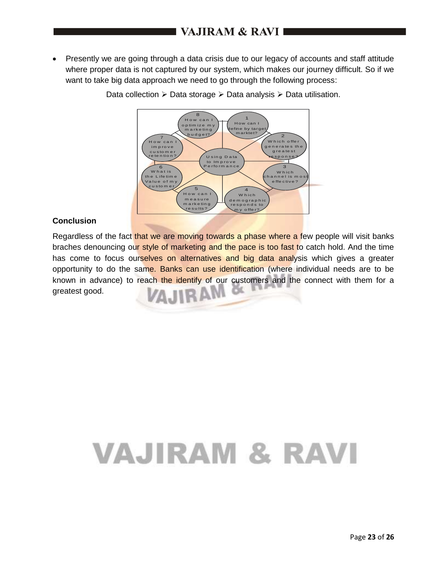• Presently we are going through a data crisis due to our legacy of accounts and staff attitude where proper data is not captured by our system, which makes our journey difficult. So if we want to take big data approach we need to go through the following process:



Data collection  $\geq$  Data storage  $\geq$  Data analysis  $\geq$  Data utilisation.

## **Conclusion**

Regardless of the fact that we are moving towards a phase where a few people will visit banks braches denouncing our style of marketing and the pace is too fast to catch hold. And the time has come to focus ourselves on alternatives and big data analysis which gives a greater opportunity to do the same. Banks can use identification (where individual needs are to be known in advance) to reach the identify of our customers and the connect with them for a VAJIRAM greatest good.œ

# VAJIRAM & RAVI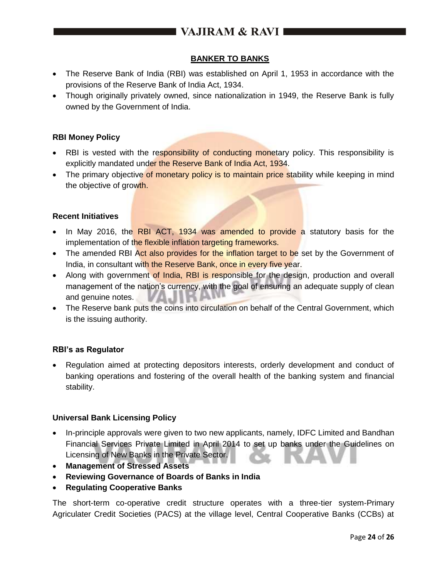# I VAJIRAM & RAVI ■

## **BANKER TO BANKS**

- The Reserve Bank of India (RBI) was established on April 1, 1953 in accordance with the provisions of the Reserve Bank of India Act, 1934.
- Though originally privately owned, since nationalization in 1949, the Reserve Bank is fully owned by the Government of India.

#### **RBI Money Policy**

- RBI is vested with the responsibility of conducting monetary policy. This responsibility is explicitly mandated under the Reserve Bank of India Act, 1934.
- The primary objective of monetary policy is to maintain price stability while keeping in mind the objective of growth.

#### **Recent Initiatives**

- In May 2016, the RBI ACT, 1934 was amended to provide a statutory basis for the implementation of the flexible inflation targeting frameworks.
- The amended RBI Act also provides for the inflation target to be set by the Government of India, in consultant with the Reserve Bank, once in every five year.
- Along with government of India, RBI is responsible for the design, production and overall management of the nation's currency, with the goal of ensuring an adequate supply of clean and genuine notes.
- The Reserve bank puts the coins into circulation on behalf of the Central Government, which is the issuing authority.

#### **RBI's as Regulator**

 Regulation aimed at protecting depositors interests, orderly development and conduct of banking operations and fostering of the overall health of the banking system and financial stability.

#### **Universal Bank Licensing Policy**

- In-principle approvals were given to two new applicants, namely, IDFC Limited and Bandhan Financial Services Private Limited in April 2014 to set up banks under the Guidelines on Licensing of New Banks in the Private Sector.
- **Management of Stressed Assets**
- **Reviewing Governance of Boards of Banks in India**
- **Regulating Cooperative Banks**

The short-term co-operative credit structure operates with a three-tier system-Primary Agriculater Credit Societies (PACS) at the village level, Central Cooperative Banks (CCBs) at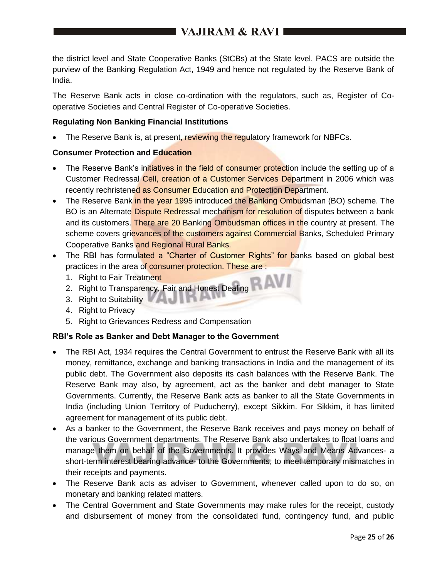the district level and State Cooperative Banks (StCBs) at the State level. PACS are outside the purview of the Banking Regulation Act, 1949 and hence not regulated by the Reserve Bank of India.

The Reserve Bank acts in close co-ordination with the regulators, such as, Register of Cooperative Societies and Central Register of Co-operative Societies.

### **Regulating Non Banking Financial Institutions**

The Reserve Bank is, at present, reviewing the regulatory framework for NBFCs.

## **Consumer Protection and Education**

- The Reserve Bank's initiatives in the field of consumer protection include the setting up of a Customer Redressal Cell, creation of a Customer Services Department in 2006 which was recently rechristened as Consumer Education and Protection Department.
- The Reserve Bank in the year 1995 introduced the Banking Ombudsman (BO) scheme. The BO is an Alternate Dispute Redressal mechanism for resolution of disputes between a bank and its customers. There are 20 Banking Ombudsman offices in the country at present. The scheme covers grievances of the customers against Commercial Banks, Scheduled Primary Cooperative Banks and Regional Rural Banks.
- The RBI has formulated a "Charter of Customer Rights" for banks based on global best practices in the area of consumer protection. These are:
	- 1. Right to Fair Treatment
	- 2. Right to Transparency, Fair and Honest Dealing
	- 3. Right to Suitability **All and The Base**
	- 4. Right to Privacy
	- 5. Right to Grievances Redress and Compensation

# **RBI's Role as Banker and Debt Manager to the Government**

- The RBI Act, 1934 requires the Central Government to entrust the Reserve Bank with all its money, remittance, exchange and banking transactions in India and the management of its public debt. The Government also deposits its cash balances with the Reserve Bank. The Reserve Bank may also, by agreement, act as the banker and debt manager to State Governments. Currently, the Reserve Bank acts as banker to all the State Governments in India (including Union Territory of Puducherry), except Sikkim. For Sikkim, it has limited agreement for management of its public debt.
- As a banker to the Government, the Reserve Bank receives and pays money on behalf of the various Government departments. The Reserve Bank also undertakes to float loans and manage them on behalf of the Governments. It provides Ways and Means Advances- a short-term interest bearing advance- to the Governments, to meet temporary mismatches in their receipts and payments.
- The Reserve Bank acts as adviser to Government, whenever called upon to do so, on monetary and banking related matters.
- The Central Government and State Governments may make rules for the receipt, custody and disbursement of money from the consolidated fund, contingency fund, and public